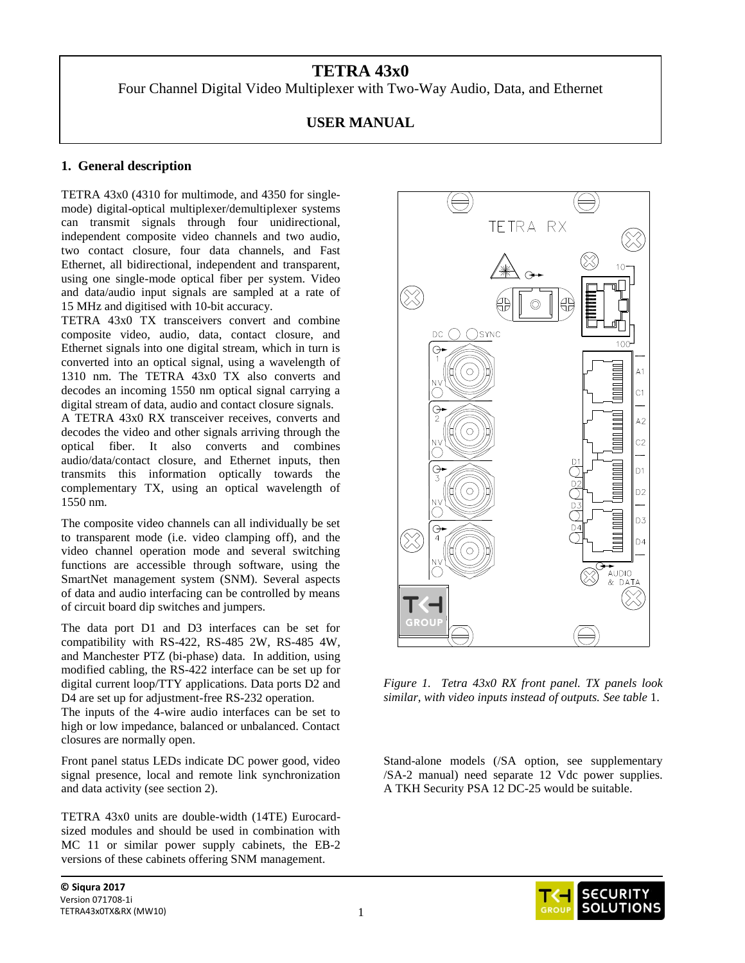# **TETRA 43x0**

Four Channel Digital Video Multiplexer with Two-Way Audio, Data, and Ethernet

# **USER MANUAL**

# **1. General description**

TETRA 43x0 (4310 for multimode, and 4350 for singlemode) digital-optical multiplexer/demultiplexer systems can transmit signals through four unidirectional, independent composite video channels and two audio, two contact closure, four data channels, and Fast Ethernet, all bidirectional, independent and transparent, using one single-mode optical fiber per system. Video and data/audio input signals are sampled at a rate of 15 MHz and digitised with 10-bit accuracy.

TETRA 43x0 TX transceivers convert and combine composite video, audio, data, contact closure, and Ethernet signals into one digital stream, which in turn is converted into an optical signal, using a wavelength of 1310 nm. The TETRA 43x0 TX also converts and decodes an incoming 1550 nm optical signal carrying a digital stream of data, audio and contact closure signals.

A TETRA 43x0 RX transceiver receives, converts and decodes the video and other signals arriving through the optical fiber. It also converts and combines audio/data/contact closure, and Ethernet inputs, then transmits this information optically towards the complementary TX, using an optical wavelength of 1550 nm.

The composite video channels can all individually be set to transparent mode (i.e. video clamping off), and the video channel operation mode and several switching functions are accessible through software, using the SmartNet management system (SNM). Several aspects of data and audio interfacing can be controlled by means of circuit board dip switches and jumpers.

The data port D1 and D3 interfaces can be set for compatibility with RS-422, RS-485 2W, RS-485 4W, and Manchester PTZ (bi-phase) data. In addition, using modified cabling, the RS-422 interface can be set up for digital current loop/TTY applications. Data ports D2 and D4 are set up for adjustment-free RS-232 operation.

The inputs of the 4-wire audio interfaces can be set to high or low impedance, balanced or unbalanced. Contact closures are normally open.

Front panel status LEDs indicate DC power good, video signal presence, local and remote link synchronization and data activity (see section 2).

TETRA 43x0 units are double-width (14TE) Eurocardsized modules and should be used in combination with MC 11 or similar power supply cabinets, the EB-2 versions of these cabinets offering SNM management.



*Figure 1. Tetra 43x0 RX front panel. TX panels look similar, with video inputs instead of outputs. See table* 1.

Stand-alone models (/SA option, see supplementary /SA-2 manual) need separate 12 Vdc power supplies. A TKH Security PSA 12 DC-25 would be suitable.

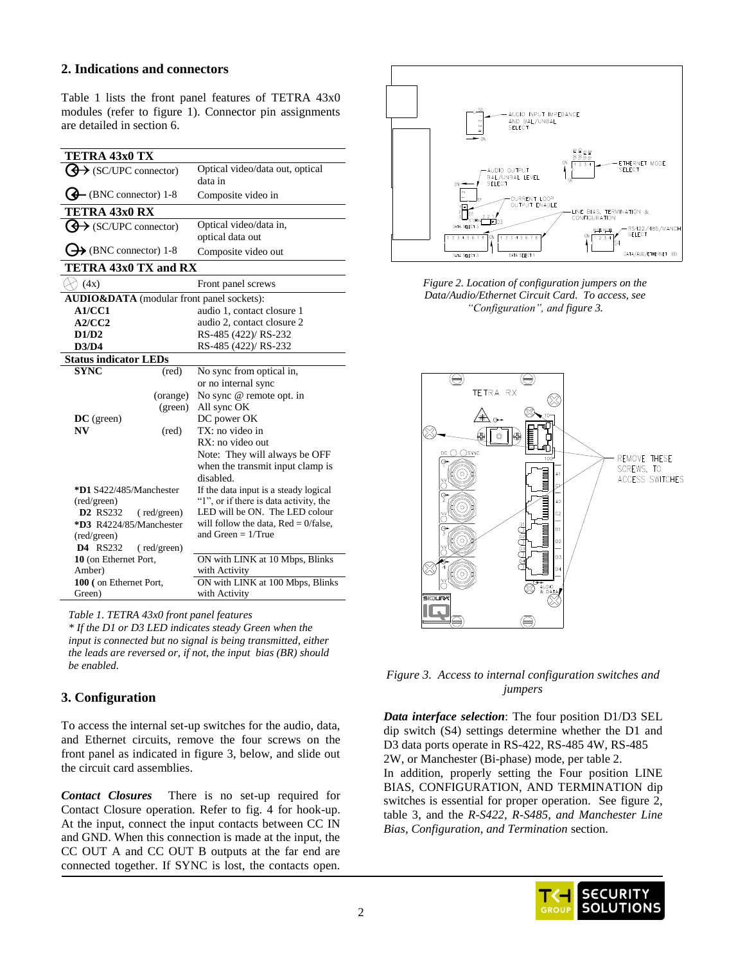## **2. Indications and connectors**

Table 1 lists the front panel features of TETRA 43x0 modules (refer to figure 1). Connector pin assignments are detailed in section 6.

| TETRA 43x0 TX                             |                                         |  |  |  |
|-------------------------------------------|-----------------------------------------|--|--|--|
| $\bigoplus$ (SC/UPC connector)            | Optical video/data out, optical         |  |  |  |
|                                           | data in                                 |  |  |  |
| $\bigoplus$ (BNC connector) 1-8           | Composite video in                      |  |  |  |
| <b>TETRA 43x0 RX</b>                      |                                         |  |  |  |
| $\bigoplus$ (SC/UPC connector)            | Optical video/data in,                  |  |  |  |
|                                           | optical data out                        |  |  |  |
| $\bigoplus$ (BNC connector) 1-8           | Composite video out                     |  |  |  |
| <b>TETRA 43x0 TX and RX</b>               |                                         |  |  |  |
| $\langle \rangle$ (4x)                    | Front panel screws                      |  |  |  |
| AUDIO&DATA (modular front panel sockets): |                                         |  |  |  |
| A1/CC1                                    | audio 1, contact closure 1              |  |  |  |
| A2/CC2                                    | audio 2, contact closure 2              |  |  |  |
| D1/D2                                     | RS-485 (422)/ RS-232                    |  |  |  |
| D3/D4                                     | RS-485 (422)/ RS-232                    |  |  |  |
| <b>Status indicator LEDs</b>              |                                         |  |  |  |
| <b>SYNC</b><br>$(\text{red})$             | No sync from optical in,                |  |  |  |
|                                           | or no internal sync                     |  |  |  |
| (orange)                                  | No sync @ remote opt. in                |  |  |  |
| (green)                                   | All sync OK                             |  |  |  |
| $DC$ (green)                              | DC power OK                             |  |  |  |
| N V<br>(red)                              | TX: no video in                         |  |  |  |
|                                           | RX: no video out                        |  |  |  |
|                                           | Note: They will always be OFF           |  |  |  |
|                                           | when the transmit input clamp is        |  |  |  |
|                                           | disabled.                               |  |  |  |
| *D1 S422/485/Manchester                   | If the data input is a steady logical   |  |  |  |
| (red/green)                               | "1", or if there is data activity, the  |  |  |  |
| <b>D2</b> RS232<br>(red/green)            | LED will be ON. The LED colour          |  |  |  |
| *D3 R4224/85/Manchester                   | will follow the data, $Red = 0$ /false, |  |  |  |
| (red/green)                               | and Green $= 1/T$ rue                   |  |  |  |
| <b>D4</b> RS232<br>(red/green)            |                                         |  |  |  |
| 10 (on Ethernet Port,                     | ON with LINK at 10 Mbps, Blinks         |  |  |  |
| Amber)                                    | with Activity                           |  |  |  |
| 100 (on Ethernet Port,                    | ON with LINK at 100 Mbps, Blinks        |  |  |  |
| Green)                                    | with Activity                           |  |  |  |

#### *Table 1. TETRA 43x0 front panel features*

*\* If the D1 or D3 LED indicates steady Green when the input is connected but no signal is being transmitted, either the leads are reversed or, if not, the input bias (BR) should be enabled.*

### **3. Configuration**

To access the internal set-up switches for the audio, data, and Ethernet circuits, remove the four screws on the front panel as indicated in figure 3, below, and slide out the circuit card assemblies.

*Contact Closures* There is no set-up required for Contact Closure operation. Refer to fig. 4 for hook-up. At the input, connect the input contacts between CC IN and GND. When this connection is made at the input, the CC OUT A and CC OUT B outputs at the far end are connected together. If SYNC is lost, the contacts open.



*Figure 2. Location of configuration jumpers on the Data/Audio/Ethernet Circuit Card. To access, see "Configuration", and figure 3.*



*Figure 3. Access to internal configuration switches and jumpers*

*Data interface selection*: The four position D1/D3 SEL dip switch (S4) settings determine whether the D1 and D3 data ports operate in RS-422, RS-485 4W, RS-485 2W, or Manchester (Bi-phase) mode, per table 2. In addition, properly setting the Four position LINE BIAS, CONFIGURATION, AND TERMINATION dip switches is essential for proper operation. See figure 2, table 3, and the *R-S422, R-S485, and Manchester Line Bias, Configuration, and Termination* section.

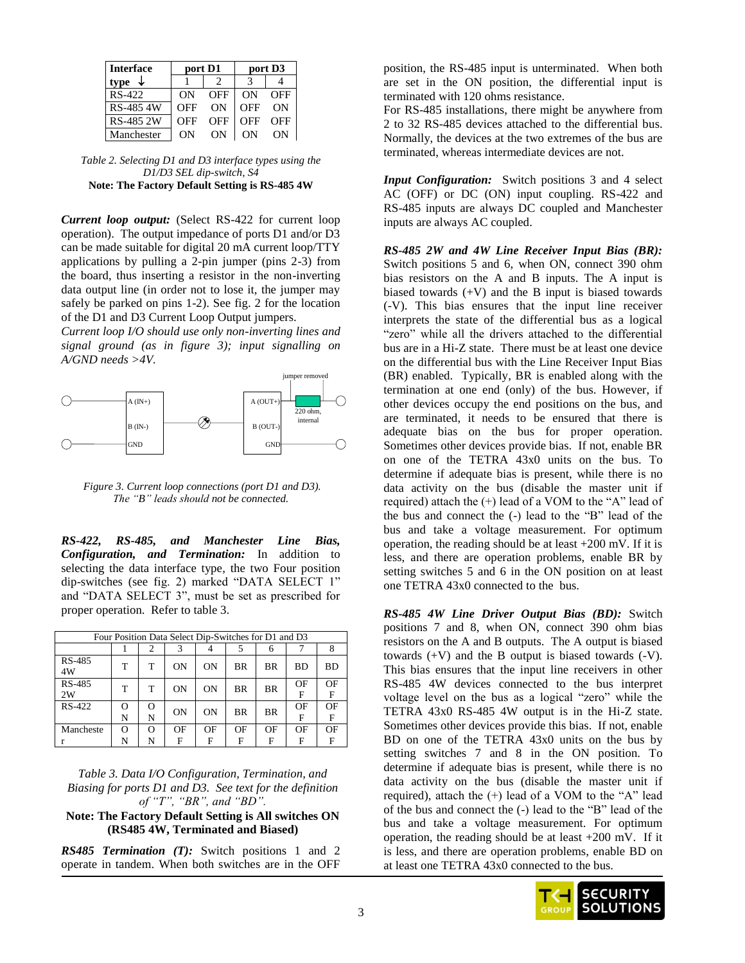| <b>Interface</b> | port D1 |     | port D <sub>3</sub> |     |  |
|------------------|---------|-----|---------------------|-----|--|
| type             |         |     |                     |     |  |
| $RS-422$         | OΝ      | OFF | ON                  | OFF |  |
| RS-485 4W        | OFF     | OΝ  | OFF                 | OΝ  |  |
| RS-485 2W        | OFF     | OFF | OFF                 | OFF |  |
| Manchester       | ON      | OΝ  | ON                  | OΝ  |  |

| Table 2. Selecting D1 and D3 interface types using the |
|--------------------------------------------------------|
| D1/D3 SEL dip-switch, S4                               |
| Note: The Factory Default Setting is RS-485 4W         |

*Current loop output:* (Select RS-422 for current loop operation). The output impedance of ports D1 and/or D3 can be made suitable for digital 20 mA current loop/TTY applications by pulling a 2-pin jumper (pins 2-3) from the board, thus inserting a resistor in the non-inverting data output line (in order not to lose it, the jumper may safely be parked on pins 1-2). See fig. 2 for the location of the D1 and D3 Current Loop Output jumpers.

*Current loop I/O should use only non-inverting lines and signal ground (as in figure 3); input signalling on A/GND needs >4V.*



*Figure 3. Current loop connections (port D1 and D3). The "B" leads should not be connected.*

*RS-422, RS-485, and Manchester Line Bias, Configuration, and Termination:* In addition to selecting the data interface type, the two Four position dip-switches (see fig. 2) marked "DATA SELECT 1" and "DATA SELECT 3", must be set as prescribed for proper operation. Refer to table 3.

| Four Position Data Select Dip-Switches for D1 and D3 |        |        |    |    |           |           |           |           |
|------------------------------------------------------|--------|--------|----|----|-----------|-----------|-----------|-----------|
|                                                      |        |        |    |    |           | 6         |           |           |
| RS-485<br>4W                                         | т      | т      | ON | ON | <b>BR</b> | <b>BR</b> | <b>BD</b> | <b>BD</b> |
| RS-485<br>2W                                         | т      | т      | ON | ON | BR.       | <b>BR</b> | OF<br>F   | OF<br>F   |
| $RS-422$                                             | O<br>N | O<br>N | ON | ON | <b>BR</b> | <b>BR</b> | OF<br>F   | OF<br>F   |
| Mancheste                                            | Ω      | Ω      | OF | OF | OF        | ΟF        | OF        | OF        |
|                                                      | N      | N      | F  | F  | F         | F         | F         |           |

*Table 3. Data I/O Configuration, Termination, and Biasing for ports D1 and D3. See text for the definition of "T", "BR", and "BD".*

**Note: The Factory Default Setting is All switches ON (RS485 4W, Terminated and Biased)**

*RS485 Termination (T):* Switch positions 1 and 2 operate in tandem. When both switches are in the OFF

position, the RS-485 input is unterminated. When both are set in the ON position, the differential input is terminated with 120 ohms resistance.

For RS-485 installations, there might be anywhere from 2 to 32 RS-485 devices attached to the differential bus. Normally, the devices at the two extremes of the bus are terminated, whereas intermediate devices are not.

*Input Configuration:* Switch positions 3 and 4 select AC (OFF) or DC (ON) input coupling. RS-422 and RS-485 inputs are always DC coupled and Manchester inputs are always AC coupled.

*RS-485 2W and 4W Line Receiver Input Bias (BR):* Switch positions 5 and 6, when ON, connect 390 ohm bias resistors on the A and B inputs. The A input is biased towards  $(+V)$  and the B input is biased towards (-V). This bias ensures that the input line receiver interprets the state of the differential bus as a logical "zero" while all the drivers attached to the differential bus are in a Hi-Z state. There must be at least one device on the differential bus with the Line Receiver Input Bias (BR) enabled. Typically, BR is enabled along with the termination at one end (only) of the bus. However, if other devices occupy the end positions on the bus, and are terminated, it needs to be ensured that there is adequate bias on the bus for proper operation. Sometimes other devices provide bias. If not, enable BR on one of the TETRA 43x0 units on the bus. To determine if adequate bias is present, while there is no data activity on the bus (disable the master unit if required) attach the (+) lead of a VOM to the "A" lead of the bus and connect the (-) lead to the "B" lead of the bus and take a voltage measurement. For optimum operation, the reading should be at least +200 mV. If it is less, and there are operation problems, enable BR by setting switches 5 and 6 in the ON position on at least one TETRA 43x0 connected to the bus.

*RS-485 4W Line Driver Output Bias (BD):* Switch positions 7 and 8, when ON, connect 390 ohm bias resistors on the A and B outputs. The A output is biased towards (+V) and the B output is biased towards (-V). This bias ensures that the input line receivers in other RS-485 4W devices connected to the bus interpret voltage level on the bus as a logical "zero" while the TETRA 43x0 RS-485 4W output is in the Hi-Z state. Sometimes other devices provide this bias. If not, enable BD on one of the TETRA 43x0 units on the bus by setting switches 7 and 8 in the ON position. To determine if adequate bias is present, while there is no data activity on the bus (disable the master unit if required), attach the (+) lead of a VOM to the "A" lead of the bus and connect the (-) lead to the "B" lead of the bus and take a voltage measurement. For optimum operation, the reading should be at least +200 mV. If it is less, and there are operation problems, enable BD on at least one TETRA 43x0 connected to the bus.

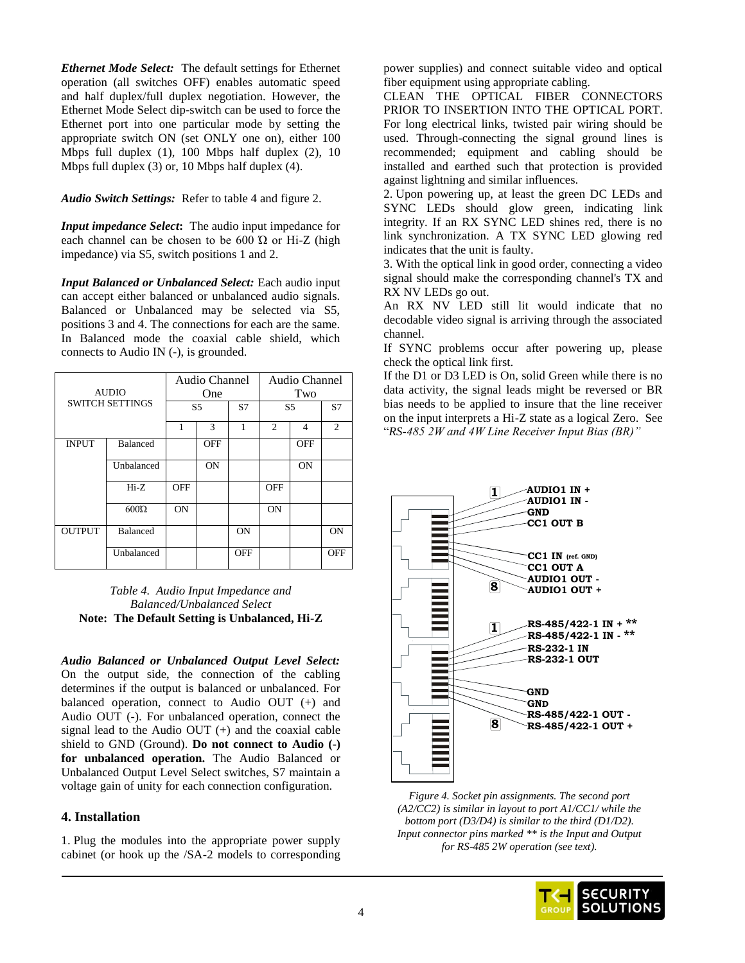*Ethernet Mode Select:* The default settings for Ethernet operation (all switches OFF) enables automatic speed and half duplex/full duplex negotiation. However, the Ethernet Mode Select dip-switch can be used to force the Ethernet port into one particular mode by setting the appropriate switch ON (set ONLY one on), either 100 Mbps full duplex (1), 100 Mbps half duplex (2), 10 Mbps full duplex (3) or, 10 Mbps half duplex (4).

*Audio Switch Settings:* Refer to table 4 and figure 2.

*Input impedance Select***:** The audio input impedance for each channel can be chosen to be  $600 \Omega$  or Hi-Z (high impedance) via S5, switch positions 1 and 2.

*Input Balanced or Unbalanced Select:* Each audio input can accept either balanced or unbalanced audio signals. Balanced or Unbalanced may be selected via S5, positions 3 and 4. The connections for each are the same. In Balanced mode the coaxial cable shield, which connects to Audio IN (-), is grounded.

| <b>AUDIO</b>           |                 | Audio Channel  |            |            | Audio Channel |            |                |  |
|------------------------|-----------------|----------------|------------|------------|---------------|------------|----------------|--|
|                        |                 |                | One        |            |               | Two        |                |  |
| <b>SWITCH SETTINGS</b> |                 | S <sub>5</sub> |            | S7         | S5            |            | S7             |  |
|                        |                 |                | 3          | 1          | 2             | 4          | $\mathfrak{D}$ |  |
| <b>INPUT</b>           | <b>Balanced</b> |                | <b>OFF</b> |            |               | <b>OFF</b> |                |  |
|                        | Unbalanced      |                | ON         |            |               | ON         |                |  |
|                        | $Hi-Z$          | <b>OFF</b>     |            |            | <b>OFF</b>    |            |                |  |
|                        | $600\Omega$     | <b>ON</b>      |            |            | <b>ON</b>     |            |                |  |
| <b>OUTPUT</b>          | <b>Balanced</b> |                |            | <b>ON</b>  |               |            | <b>ON</b>      |  |
|                        | Unbalanced      |                |            | <b>OFF</b> |               |            | <b>OFF</b>     |  |

*Table 4. Audio Input Impedance and Balanced/Unbalanced Select* **Note: The Default Setting is Unbalanced, Hi-Z**

*Audio Balanced or Unbalanced Output Level Select:*  On the output side, the connection of the cabling determines if the output is balanced or unbalanced. For balanced operation, connect to Audio OUT (+) and Audio OUT (-). For unbalanced operation, connect the signal lead to the Audio OUT (+) and the coaxial cable shield to GND (Ground). **Do not connect to Audio (-) for unbalanced operation.** The Audio Balanced or Unbalanced Output Level Select switches, S7 maintain a voltage gain of unity for each connection configuration.

# **4. Installation**

1. Plug the modules into the appropriate power supply cabinet (or hook up the /SA-2 models to corresponding power supplies) and connect suitable video and optical fiber equipment using appropriate cabling.

CLEAN THE OPTICAL FIBER CONNECTORS PRIOR TO INSERTION INTO THE OPTICAL PORT. For long electrical links, twisted pair wiring should be used. Through-connecting the signal ground lines is recommended; equipment and cabling should be installed and earthed such that protection is provided against lightning and similar influences.

2. Upon powering up, at least the green DC LEDs and SYNC LEDs should glow green, indicating link integrity. If an RX SYNC LED shines red, there is no link synchronization. A TX SYNC LED glowing red indicates that the unit is faulty.

3. With the optical link in good order, connecting a video signal should make the corresponding channel's TX and RX NV LEDs go out.

An RX NV LED still lit would indicate that no decodable video signal is arriving through the associated channel.

If SYNC problems occur after powering up, please check the optical link first.

If the D1 or D3 LED is On, solid Green while there is no data activity, the signal leads might be reversed or BR bias needs to be applied to insure that the line receiver on the input interprets a Hi-Z state as a logical Zero. See "*RS-485 2W and 4W Line Receiver Input Bias (BR)"*



*Figure 4. Socket pin assignments. The second port (A2/CC2) is similar in layout to port A1/CC1/ while the bottom port (D3/D4) is similar to the third (D1/D2). Input connector pins marked \*\* is the Input and Output for RS-485 2W operation (see text).*

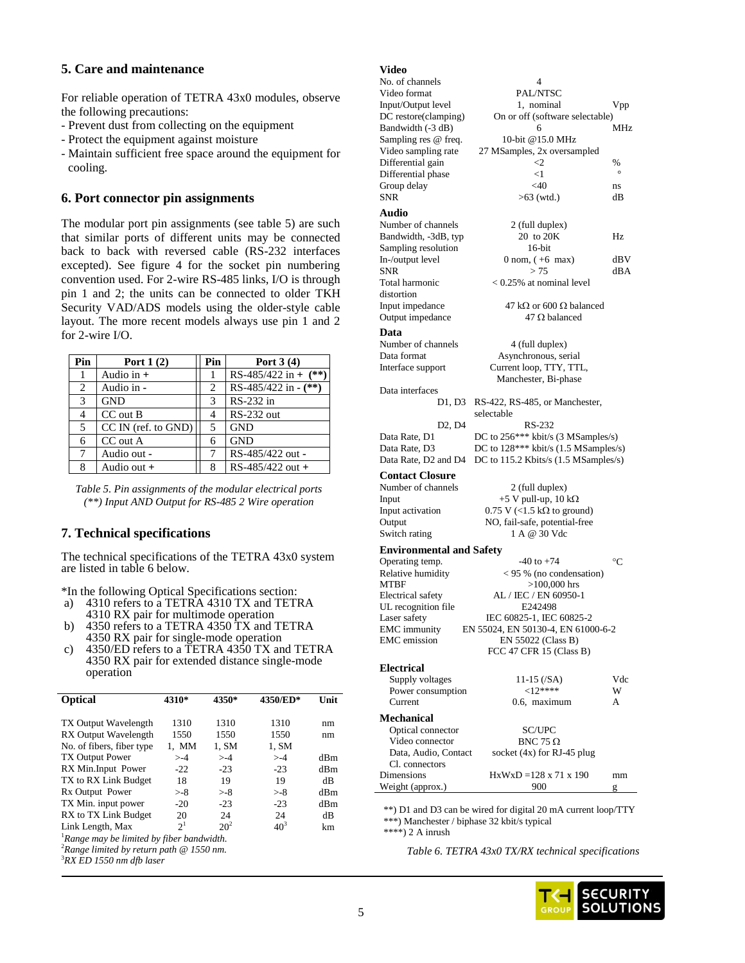## **5. Care and maintenance**

For reliable operation of TETRA 43x0 modules, observe the following precautions:

- Prevent dust from collecting on the equipment
- Protect the equipment against moisture
- Maintain sufficient free space around the equipment for cooling.

### **6. Port connector pin assignments**

The modular port pin assignments (see table 5) are such that similar ports of different units may be connected back to back with reversed cable (RS-232 interfaces excepted). See figure 4 for the socket pin numbering convention used. For 2-wire RS-485 links, I/O is through pin 1 and 2; the units can be connected to older TKH Security VAD/ADS models using the older-style cable layout. The more recent models always use pin 1 and 2 for 2-wire I/O.

| Pin | Port $1(2)$           | Pin | Port $3(4)$            |
|-----|-----------------------|-----|------------------------|
|     | Audio in $+$          |     | RS-485/422 in + $(**)$ |
| 2   | Audio in -            | 2   | RS-485/422 in $-(**)$  |
| 3   | <b>GND</b>            | 3   | RS-232 in              |
| 4   | CC out B              |     | <b>RS-232 out</b>      |
| 5   | $CC IN$ (ref. to GND) | 5   | <b>GND</b>             |
| 6   | CC out A              | 6   | <b>GND</b>             |
| 7   | Audio out -           |     | RS-485/422 out -       |
| 8   | Audio out +           | 8   | RS-485/422 out +       |

*Table 5. Pin assignments of the modular electrical ports (\*\*) Input AND Output for RS-485 2 Wire operation*

### **7. Technical specifications**

The technical specifications of the TETRA 43x0 system are listed in table 6 below.

\*In the following Optical Specifications section:

- a) 4310 refers to a TETRA 4310 TX and TETRA 4310 RX pair for multimode operation
- b) 4350 refers to a TETRA 4350 TX and TETRA 4350 RX pair for single-mode operation
- c) 4350/ED refers to a TETRA 4350 TX and TETRA 4350 RX pair for extended distance single-mode operation

| <b>Optical</b>                                       | 4310*          | 4350*  | 4350/ED* | Unit |  |  |
|------------------------------------------------------|----------------|--------|----------|------|--|--|
|                                                      |                |        |          |      |  |  |
| <b>TX Output Wavelength</b>                          | 1310           | 1310   | 1310     | nm   |  |  |
| RX Output Wavelength                                 | 1550           | 1550   | 1550     | nm   |  |  |
| No. of fibers, fiber type                            | 1, MM          | 1, SM  | 1, SM    |      |  |  |
| <b>TX Output Power</b>                               | $> -4$         | $> -4$ | $> -4$   | dBm  |  |  |
| RX Min.Input Power                                   | $-22$          | $-23$  | $-23$    | dBm  |  |  |
| TX to RX Link Budget                                 | 18             | 19     | 19       | dВ   |  |  |
| Rx Output Power                                      | $> -8$         | $> -8$ | $> -8$   | dBm  |  |  |
| TX Min. input power                                  | $-20$          | $-23$  | $-23$    | dBm  |  |  |
| RX to TX Link Budget                                 | 20             | 24     | 24       | dВ   |  |  |
| Link Length, Max                                     | 2 <sup>1</sup> | $20^2$ | $40^{3}$ | km   |  |  |
| ${}^{1}$ Range may be limited by fiber bandwidth.    |                |        |          |      |  |  |
| <sup>2</sup> Range limited by return path @ 1550 nm. |                |        |          |      |  |  |

<sup>3</sup>*RX ED 1550 nm dfb laser*

## **Video**

|                |                                            | 4                                             |         |
|----------------|--------------------------------------------|-----------------------------------------------|---------|
|                | No. of channels<br>Video format            | PAL/NTSC                                      |         |
| Э              | Input/Output level                         | 1, nominal                                    | Vpp     |
|                | DC restore(clamping)                       | On or off (software selectable)               |         |
|                | Bandwidth (-3 dB)                          | 6                                             | MHz     |
|                | Sampling res @ freq.                       | 10-bit @15.0 MHz                              |         |
|                | Video sampling rate                        | 27 MSamples, 2x oversampled                   |         |
| r              | Differential gain                          | ${<}2$                                        | %       |
|                | Differential phase                         | $<$ 1                                         | $\circ$ |
|                | Group delay                                | $<$ 40                                        | ns      |
|                | <b>SNR</b>                                 | $>63$ (wtd.)                                  | dВ      |
|                | Audio                                      |                                               |         |
| ı              | Number of channels                         |                                               |         |
|                | Bandwidth, -3dB, typ                       | 2 (full duplex)<br>20 to 20K                  | Hz      |
| ŀ              | Sampling resolution                        | $16$ -bit                                     |         |
| S              | In-/output level                           | $0$ nom, $(+6$ max)                           | dBV     |
| 3              | <b>SNR</b>                                 | > 75                                          | dBA     |
| ı              | Total harmonic                             | $< 0.25\%$ at nominal level                   |         |
| I              | distortion                                 |                                               |         |
|                | Input impedance                            | 47 k $\Omega$ or 600 $\Omega$ balanced        |         |
| e              | Output impedance                           | $47 \Omega$ balanced                          |         |
| $\overline{2}$ |                                            |                                               |         |
|                | Data                                       |                                               |         |
|                | Number of channels                         | 4 (full duplex)                               |         |
|                | Data format                                | Asynchronous, serial                          |         |
|                | Interface support                          | Current loop, TTY, TTL,                       |         |
|                |                                            | Manchester, Bi-phase                          |         |
|                | Data interfaces                            |                                               |         |
|                | D1, D3                                     | RS-422, RS-485, or Manchester,                |         |
|                |                                            | selectable                                    |         |
|                | D <sub>2</sub> , D <sub>4</sub>            | RS-232<br>DC to 256*** kbit/s (3 MSamples/s)  |         |
|                | Data Rate, D1<br>Data Rate, D3             | DC to $128***$ kbit/s (1.5 MSamples/s)        |         |
|                | Data Rate, D2 and D4                       | DC to $115.2$ Kbits/s $(1.5$ MSamples/s)      |         |
|                |                                            |                                               |         |
|                | <b>Contact Closure</b>                     |                                               |         |
|                | Number of channels                         | 2 (full duplex)                               |         |
|                | Input                                      | +5 V pull-up, $10 \text{ k}\Omega$            |         |
|                | Input activation                           | $0.75$ V (<1.5 k $\Omega$ to ground)          |         |
|                | Output                                     | NO, fail-safe, potential-free<br>1 A @ 30 Vdc |         |
|                | Switch rating                              |                                               |         |
|                | <b>Environmental and Safety</b>            |                                               |         |
|                | Operating temp.                            | $-40$ to $+74$                                | °C      |
|                | Relative humidity                          | < 95 % (no condensation)                      |         |
|                | <b>MTBF</b>                                | $>100,000$ hrs                                |         |
|                | Electrical safety                          | AL / IEC / EN 60950-1                         |         |
|                | UL recognition file                        | E242498                                       |         |
|                | Laser safety                               | IEC 60825-1, IEC 60825-2                      |         |
|                | <b>EMC</b> immunity<br><b>EMC</b> emission | EN 55024, EN 50130-4, EN 61000-6-2            |         |
|                |                                            | EN 55022 (Class B)<br>FCC 47 CFR 15 (Class B) |         |
|                |                                            |                                               |         |
|                | <b>Electrical</b>                          |                                               |         |
|                | Supply voltages                            | 11-15 (/SA)                                   | Vdc     |
|                | Power consumption                          | ${<}12***$                                    | W       |
|                | Current                                    | 0.6, maximum                                  | A       |
|                | <b>Mechanical</b>                          |                                               |         |
|                | Optical connector                          | SC/UPC                                        |         |
|                | Video connector                            | BNC 75 $\Omega$                               |         |
|                | Data, Audio, Contact                       | socket $(4x)$ for RJ-45 plug                  |         |
|                | Cl. connectors                             |                                               |         |
|                | Dimensions                                 | $HxWxD = 128 \times 71 \times 190$            | mm      |
|                | Weight (approx.)                           | 900                                           | g       |
|                |                                            |                                               |         |

\*\*) D1 and D3 can be wired for digital 20 mA current loop/TTY \*\*\*) Manchester / biphase 32 kbit/s typical

\*\*\*\*\*) 2 A inrush

*Table 6. TETRA 43x0 TX/RX technical specifications*

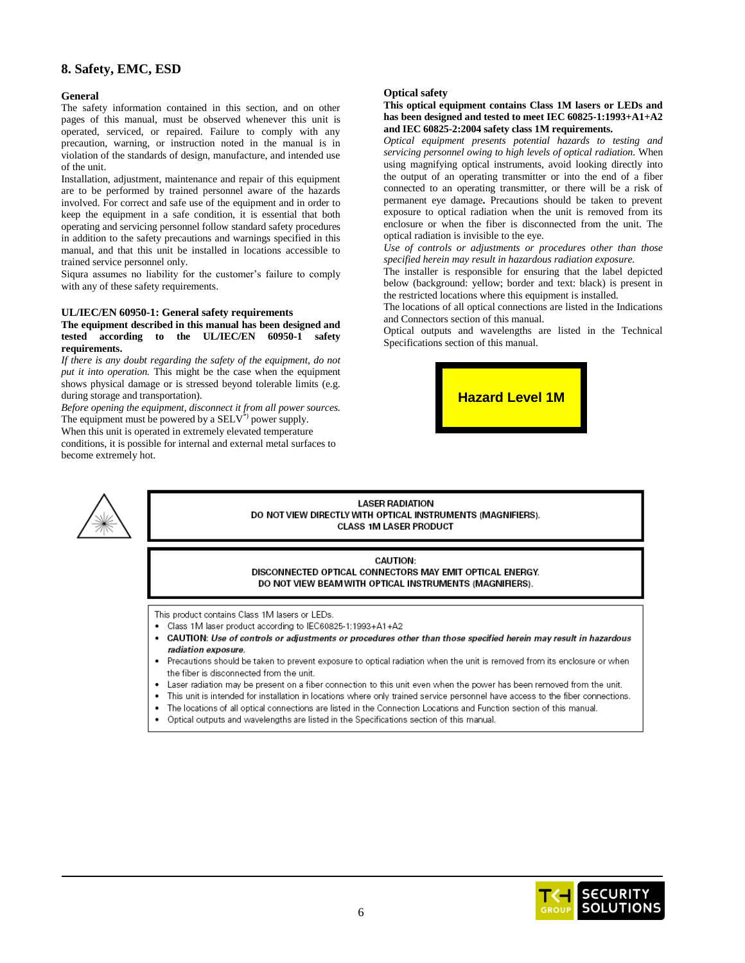# **8. Safety, EMC, ESD**

#### **General**

The safety information contained in this section, and on other pages of this manual, must be observed whenever this unit is operated, serviced, or repaired. Failure to comply with any precaution, warning, or instruction noted in the manual is in violation of the standards of design, manufacture, and intended use of the unit.

Installation, adjustment, maintenance and repair of this equipment are to be performed by trained personnel aware of the hazards involved. For correct and safe use of the equipment and in order to keep the equipment in a safe condition, it is essential that both operating and servicing personnel follow standard safety procedures in addition to the safety precautions and warnings specified in this manual, and that this unit be installed in locations accessible to trained service personnel only.

Siqura assumes no liability for the customer's failure to comply with any of these safety requirements.

#### **UL/IEC/EN 60950-1: General safety requirements**

#### **The equipment described in this manual has been designed and tested according to the UL/IEC/EN 60950-1 safety requirements.**

*If there is any doubt regarding the safety of the equipment, do not put it into operation.* This might be the case when the equipment shows physical damage or is stressed beyond tolerable limits (e.g. during storage and transportation).

*Before opening the equipment, disconnect it from all power sources.* The equipment must be powered by a  $SELV^*$  power supply.

When this unit is operated in extremely elevated temperature conditions, it is possible for internal and external metal surfaces to become extremely hot.

#### **Optical safety**

#### **This optical equipment contains Class 1M lasers or LEDs and has been designed and tested to meet IEC 60825-1:1993+A1+A2 and IEC 60825-2:2004 safety class 1M requirements.**

*Optical equipment presents potential hazards to testing and servicing personnel owing to high levels of optical radiation.* When using magnifying optical instruments, avoid looking directly into the output of an operating transmitter or into the end of a fiber connected to an operating transmitter, or there will be a risk of permanent eye damage**.** Precautions should be taken to prevent exposure to optical radiation when the unit is removed from its enclosure or when the fiber is disconnected from the unit. The optical radiation is invisible to the eye.

*Use of controls or adjustments or procedures other than those specified herein may result in hazardous radiation exposure.* 

The installer is responsible for ensuring that the label depicted below (background: yellow; border and text: black) is present in the restricted locations where this equipment is installed.

The locations of all optical connections are listed in the Indications and Connectors section of this manual.

Optical outputs and wavelengths are listed in the Technical Specifications section of this manual.



**LASER RADIATION** DO NOT VIEW DIRECTLY WITH OPTICAL INSTRUMENTS (MAGNIFIERS). **CLASS 1M LASER PRODUCT** 

CAUTION: DISCONNECTED OPTICAL CONNECTORS MAY EMIT OPTICAL ENERGY. DO NOT VIEW BEAM WITH OPTICAL INSTRUMENTS (MAGNIFIERS).

This product contains Class 1M lasers or LEDs.

- Class 1M laser product according to IEC60825-1:1993+A1+A2
- CAUTION: Use of controls or adjustments or procedures other than those specified herein may result in hazardous radiation exposure.
- Precautions should be taken to prevent exposure to optical radiation when the unit is removed from its enclosure or when the fiber is disconnected from the unit.
- Laser radiation may be present on a fiber connection to this unit even when the power has been removed from the unit.
- . This unit is intended for installation in locations where only trained service personnel have access to the fiber connections.
- The locations of all optical connections are listed in the Connection Locations and Function section of this manual.
- Optical outputs and wavelengths are listed in the Specifications section of this manual.